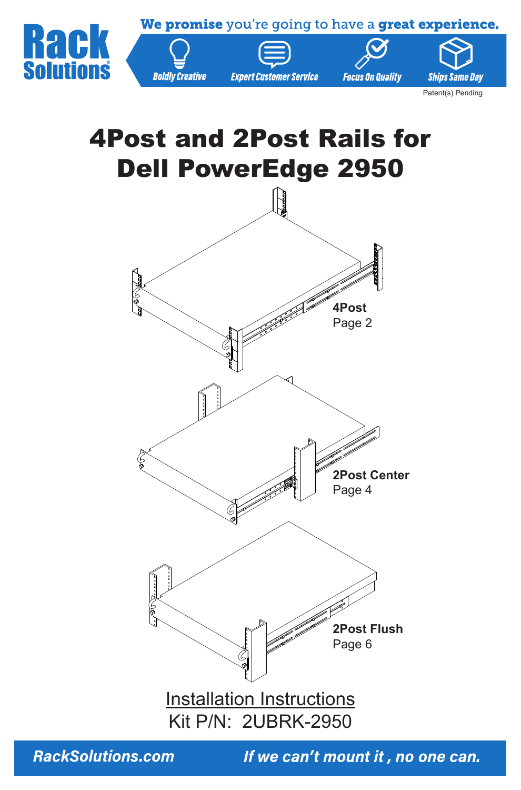

# 4Post and 2Post Rails for Dell PowerEdge 2950



**RackSolutions.com**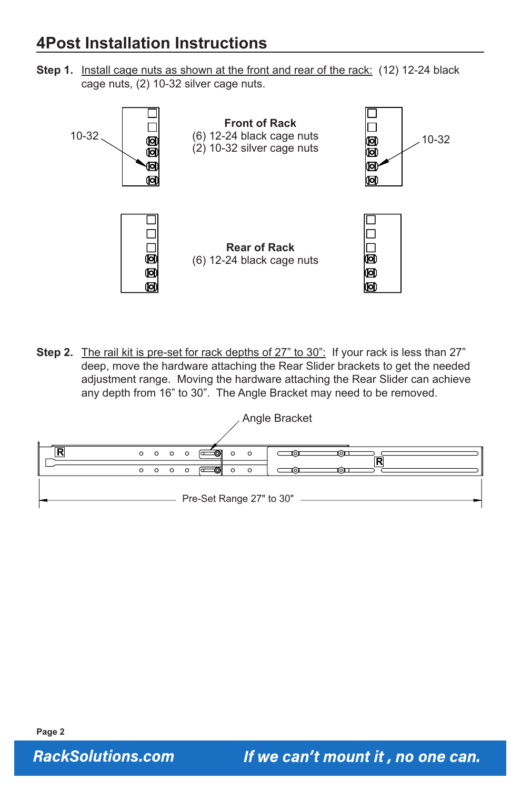### **4Post Installation Instructions**

**Step 1.** Install cage nuts as shown at the front and rear of the rack: (12) 12-24 black cage nuts, (2) 10-32 silver cage nuts.



Step 2. The rail kit is pre-set for rack depths of 27" to 30": If your rack is less than 27" deep, move the hardware attaching the Rear Slider brackets to get the needed adjustment range. Moving the hardware attaching the Rear Slider can achieve any depth from 16" to 30". The Angle Bracket may need to be removed.



**RackSolutions.com**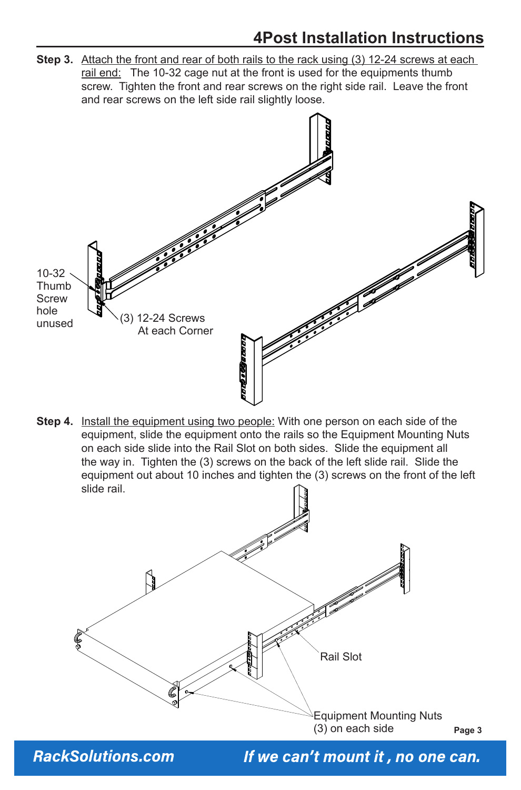### **4Post Installation Instructions**

**Step 3.** Attach the front and rear of both rails to the rack using (3) 12-24 screws at each rail end: The 10-32 cage nut at the front is used for the equipments thumb screw. Tighten the front and rear screws on the right side rail. Leave the front and rear screws on the left side rail slightly loose.



**Step 4.** Install the equipment using two people: With one person on each side of the equipment, slide the equipment onto the rails so the Equipment Mounting Nuts on each side slide into the Rail Slot on both sides. Slide the equipment all the way in. Tighten the (3) screws on the back of the left slide rail. Slide the equipment out about 10 inches and tighten the (3) screws on the front of the left slide rail.



**Page 3**

**RackSolutions.com**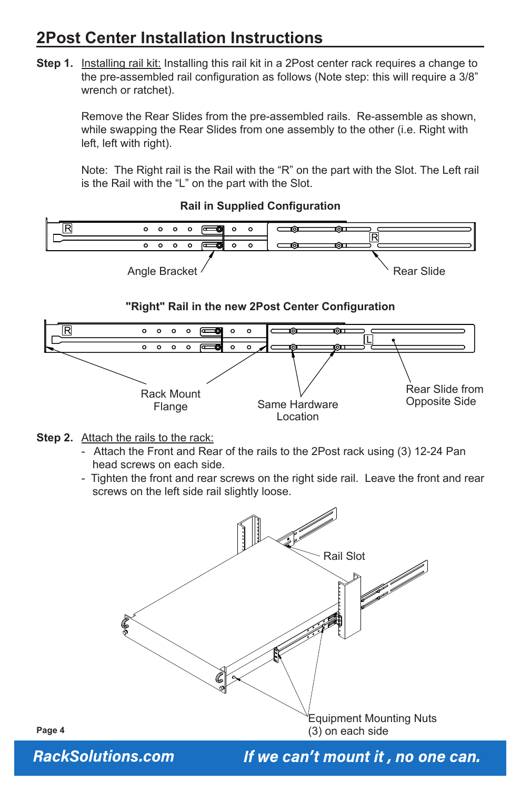# **2Post Center Installation Instructions**

**Step 1.** Installing rail kit: Installing this rail kit in a 2Post center rack requires a change to the pre-assembled rail configuration as follows (Note step: this will require a 3/8" wrench or ratchet).

> Remove the Rear Slides from the pre-assembled rails. Re-assemble as shown, while swapping the Rear Slides from one assembly to the other (i.e. Right with left, left with right).

> Note: The Right rail is the Rail with the "R" on the part with the Slot. The Left rail is the Rail with the "L" on the part with the Slot.

> > **Rail in Supplied Configuration**



- **Step 2.** Attach the rails to the rack:
	- Attach the Front and Rear of the rails to the 2Post rack using (3) 12-24 Pan head screws on each side.
	- Tighten the front and rear screws on the right side rail. Leave the front and rear screws on the left side rail slightly loose.



**Page 4**

**RackSolutions.com**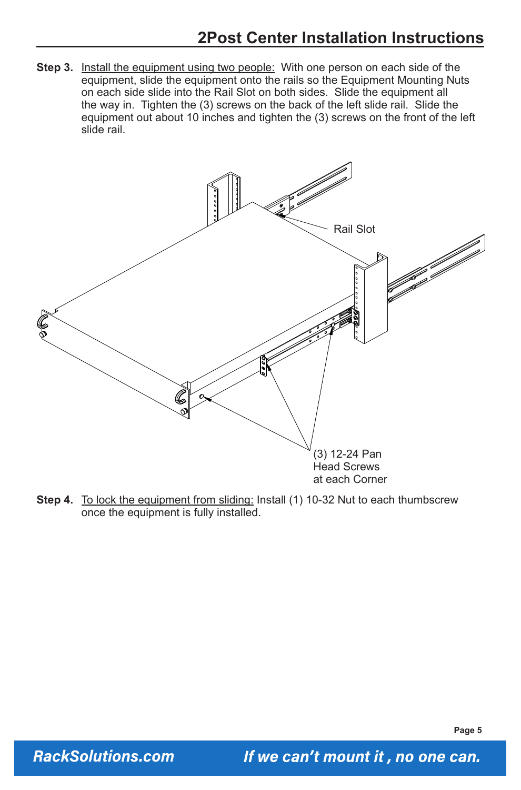**Step 3.** Install the equipment using two people: With one person on each side of the equipment, slide the equipment onto the rails so the Equipment Mounting Nuts on each side slide into the Rail Slot on both sides. Slide the equipment all the way in. Tighten the (3) screws on the back of the left slide rail. Slide the equipment out about 10 inches and tighten the (3) screws on the front of the left slide rail.



**Step 4.** To lock the equipment from sliding: Install (1) 10-32 Nut to each thumbscrew once the equipment is fully installed.

**Page 5**

**RackSolutions.com**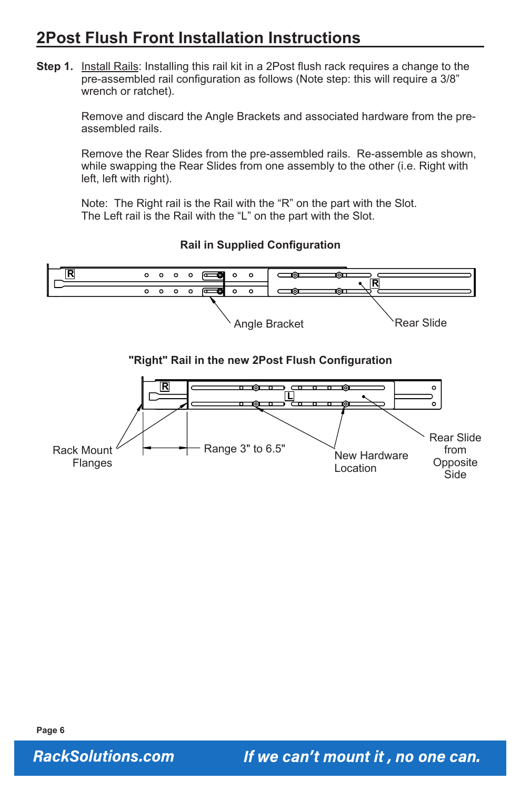# **2Post Flush Front Installation Instructions**

**Step 1.** Install Rails: Installing this rail kit in a 2Post flush rack requires a change to the pre-assembled rail configuration as follows (Note step: this will require a 3/8" wrench or ratchet).

> Remove and discard the Angle Brackets and associated hardware from the preassembled rails.

> Remove the Rear Slides from the pre-assembled rails. Re-assemble as shown, while swapping the Rear Slides from one assembly to the other (i.e. Right with left, left with right).

Note: The Right rail is the Rail with the "R" on the part with the Slot. The Left rail is the Rail with the "L" on the part with the Slot.

**Rail in Supplied Configuration**



#### **"Right" Rail in the new 2Post Flush Configuration**



**RackSolutions.com**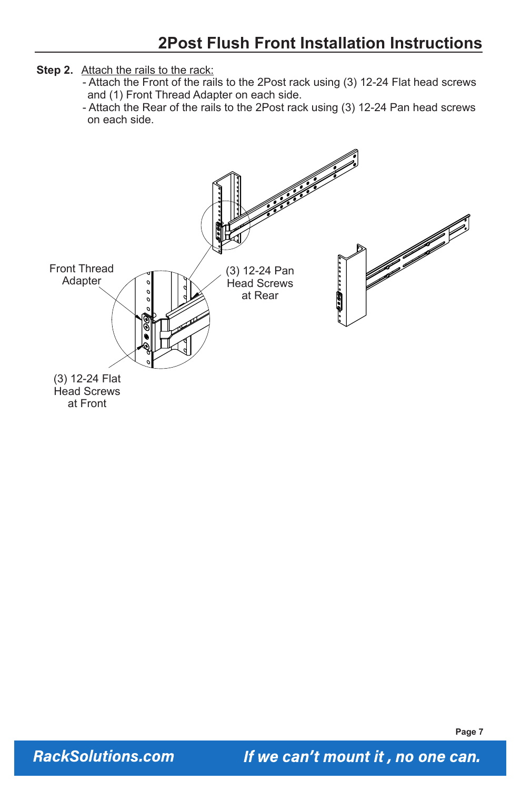- **Step 2.** Attach the rails to the rack:
	- Attach the Front of the rails to the 2Post rack using (3) 12-24 Flat head screws and (1) Front Thread Adapter on each side.
	- Attach the Rear of the rails to the 2Post rack using (3) 12-24 Pan head screws on each side.



**Page 7**

**RackSolutions.com**